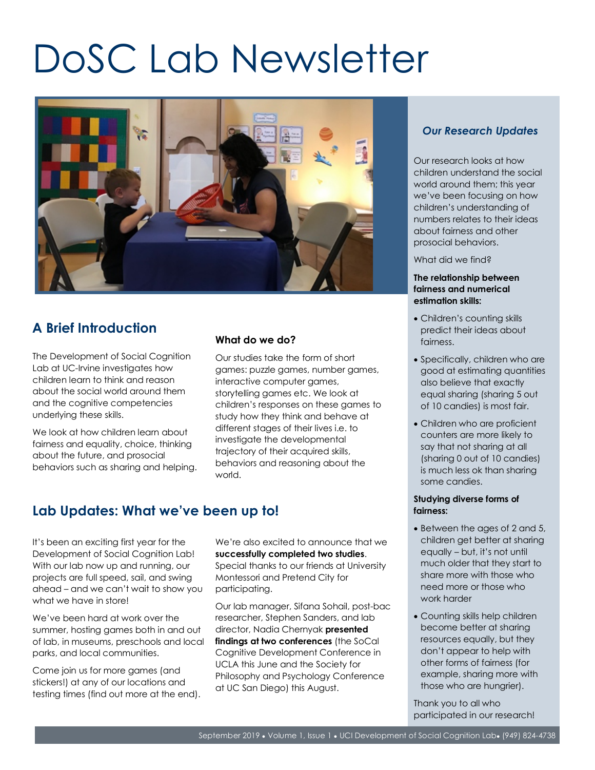# DoSC Lab Newsletter



# **A Brief Introduction**

The Development of Social Cognition Lab at UC-Irvine investigates how children learn to think and reason about the social world around them and the cognitive competencies underlying these skills.

We look at how children learn about fairness and equality, choice, thinking about the future, and prosocial behaviors such as sharing and helping.

### **What do we do?**

Our studies take the form of short games: puzzle games, number games, interactive computer games, storytelling games etc. We look at children's responses on these games to study how they think and behave at different stages of their lives i.e. to investigate the developmental trajectory of their acquired skills, behaviors and reasoning about the world.

## **Lab Updates: What we've been up to!**

It's been an exciting first year for the Development of Social Cognition Lab! With our lab now up and running, our projects are full speed, sail, and swing ahead – and we can't wait to show you what we have in store!

We've been hard at work over the summer, hosting games both in and out of lab, in museums, preschools and local parks, and local communities.

Come join us for more games (and stickers!) at any of our locations and testing times (find out more at the end).

We're also excited to announce that we **successfully completed two studies**. Special thanks to our friends at University Montessori and Pretend City for participating.

Our lab manager, Sifana Sohail, post-bac researcher, Stephen Sanders, and lab director, Nadia Chernyak **presented findings at two conferences** (the SoCal Cognitive Development Conference in UCLA this June and the Society for Philosophy and Psychology Conference at UC San Diego) this August.

### *Our Research Updates*

Our research looks at how children understand the social world around them; this year we've been focusing on how children's understanding of numbers relates to their ideas about fairness and other prosocial behaviors.

What did we find?

#### **The relationship between fairness and numerical estimation skills:**

- Children's counting skills predict their ideas about fairness.
- Specifically, children who are good at estimating quantities also believe that exactly equal sharing (sharing 5 out of 10 candies) is most fair.
- Children who are proficient counters are more likely to say that not sharing at all (sharing 0 out of 10 candies) is much less ok than sharing some candies.

#### **Studying diverse forms of fairness:**

- Between the ages of 2 and 5, children get better at sharing equally – but, it's not until much older that they start to share more with those who need more or those who work harder
- Counting skills help children become better at sharing resources equally, but they don't appear to help with other forms of fairness (for example, sharing more with those who are hungrier).

Thank you to all who participated in our research!